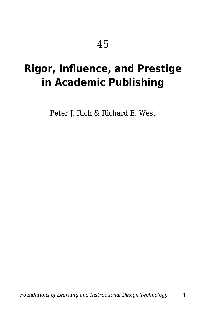# **Rigor, Influence, and Prestige in Academic Publishing**

Peter J. Rich & Richard E. West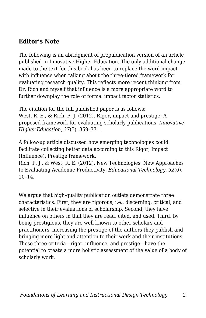#### **Editor's Note**

The following is an abridgment of prepublication version of an article published in Innovative Higher Education*.* The only additional change made to the text for this book has been to replace the word impact with influence when talking about the three-tiered framework for evaluating research quality. This reflects more recent thinking from Dr. Rich and myself that influence is a more appropriate word to further downplay the role of formal impact factor statistics.

The citation for the full published paper is as follows: West, R. E., & Rich, P. J. (2012). Rigor, impact and prestige: A proposed framework for evaluating scholarly publications. *Innovative Higher Education, 37*(5), 359–371.

A follow-up article discussed how emerging technologies could facilitate collecting better data according to this Rigor, Impact (Influence), Prestige framework.

Rich, P. J., & West, R. E. (2012). New Technologies, New Approaches to Evaluating Academic Productivity. *Educational Technology, 52*(6),  $10-14$ .

We argue that high-quality publication outlets demonstrate three characteristics. First, they are rigorous, i.e., discerning, critical, and selective in their evaluations of scholarship. Second, they have influence on others in that they are read, cited, and used. Third, by being prestigious, they are well known to other scholars and practitioners, increasing the prestige of the authors they publish and bringing more light and attention to their work and their institutions. These three criteria—rigor, influence, and prestige—have the potential to create a more holistic assessment of the value of a body of scholarly work.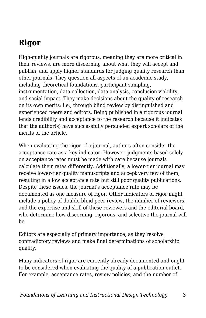### **Rigor**

High-quality journals are rigorous, meaning they are more critical in their reviews, are more discerning about what they will accept and publish, and apply higher standards for judging quality research than other journals. They question all aspects of an academic study, including theoretical foundations, participant sampling, instrumentation, data collection, data analysis, conclusion viability, and social impact. They make decisions about the quality of research on its own merits: i.e., through blind review by distinguished and experienced peers and editors. Being published in a rigorous journal lends credibility and acceptance to the research because it indicates that the author(s) have successfully persuaded expert scholars of the merits of the article.

When evaluating the rigor of a journal, authors often consider the acceptance rate as a key indicator. However, judgments based solely on acceptance rates must be made with care because journals calculate their rates differently. Additionally, a lower-tier journal may receive lower-tier quality manuscripts and accept very few of them, resulting in a low acceptance rate but still poor quality publications. Despite these issues, the journal's acceptance rate may be documented as one measure of rigor. Other indicators of rigor might include a policy of double blind peer review, the number of reviewers, and the expertise and skill of these reviewers and the editorial board, who determine how discerning, rigorous, and selective the journal will be.

Editors are especially of primary importance, as they resolve contradictory reviews and make final determinations of scholarship quality.

Many indicators of rigor are currently already documented and ought to be considered when evaluating the quality of a publication outlet. For example, acceptance rates, review policies, and the number of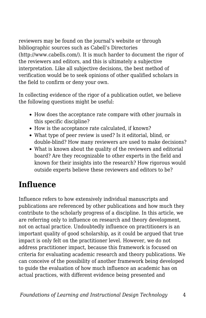reviewers may be found on the journal's website or through bibliographic sources such as Cabell's Directories (http://www.cabells.com/). It is much harder to document the rigor of the reviewers and editors, and this is ultimately a subjective interpretation. Like all subjective decisions, the best method of verification would be to seek opinions of other qualified scholars in the field to confirm or deny your own.

In collecting evidence of the rigor of a publication outlet, we believe the following questions might be useful:

- How does the acceptance rate compare with other journals in this specific discipline?
- How is the acceptance rate calculated, if known?
- What type of peer review is used? Is it editorial, blind, or double-blind? How many reviewers are used to make decisions?
- What is known about the quality of the reviewers and editorial board? Are they recognizable to other experts in the field and known for their insights into the research? How rigorous would outside experts believe these reviewers and editors to be?

### **Influence**

Influence refers to how extensively individual manuscripts and publications are referenced by other publications and how much they contribute to the scholarly progress of a discipline. In this article, we are referring only to influence on research and theory development, not on actual practice. Undoubtedly influence on practitioners is an important quality of good scholarship, as it could be argued that true impact is only felt on the practitioner level. However, we do not address practitioner impact, because this framework is focused on criteria for evaluating academic research and theory publications. We can conceive of the possibility of another framework being developed to guide the evaluation of how much influence an academic has on actual practices, with different evidence being presented and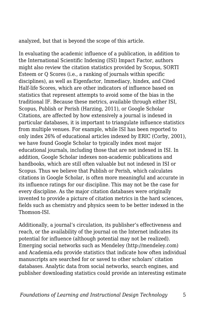analyzed, but that is beyond the scope of this article.

In evaluating the academic influence of a publication, in addition to the International Scientific Indexing (ISI) Impact Factor, authors might also review the citation statistics provided by Scopus, SORTI Esteem or Q Scores (i.e., a ranking of journals within specific disciplines), as well as Eigenfactor, Immediacy, hindex, and Cited Half-life Scores, which are other indicators of influence based on statistics that represent attempts to avoid some of the bias in the traditional IF. Because these metrics, available through either ISI, Scopus, Publish or Perish (Harzing, 2011), or Google Scholar Citations, are affected by how extensively a journal is indexed in particular databases, it is important to triangulate influence statistics from multiple venues. For example, while ISI has been reported to only index 26% of educational articles indexed by ERIC (Corby, 2001), we have found Google Scholar to typically index most major educational journals, including those that are not indexed in ISI. In addition, Google Scholar indexes non-academic publications and handbooks, which are still often valuable but not indexed in ISI or Scopus. Thus we believe that Publish or Perish, which calculates citations in Google Scholar, is often more meaningful and accurate in its influence ratings for our discipline. This may not be the case for every discipline. As the major citation databases were originally invented to provide a picture of citation metrics in the hard sciences, fields such as chemistry and physics seem to be better indexed in the Thomson-ISI.

Additionally, a journal's circulation, its publisher's effectiveness and reach, or the availability of the journal on the Internet indicates its potential for influence (although potential may not be realized). Emerging social networks such as Mendeley (http://mendeley.com) and Academia.edu provide statistics that indicate how often individual manuscripts are searched for or saved to other scholars' citation databases. Analytic data from social networks, search engines, and publisher downloading statistics could provide an interesting estimate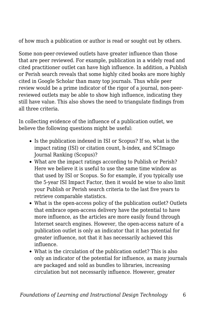of how much a publication or author is read or sought out by others.

Some non-peer-reviewed outlets have greater influence than those that are peer reviewed. For example, publication in a widely read and cited practitioner outlet can have high influence. In addition, a Publish or Perish search reveals that some highly cited books are more highly cited in Google Scholar than many top journals. Thus while peer review would be a prime indicator of the rigor of a journal, non-peerreviewed outlets may be able to show high influence, indicating they still have value. This also shows the need to triangulate findings from all three criteria.

In collecting evidence of the influence of a publication outlet, we believe the following questions might be useful:

- Is the publication indexed in ISI or Scopus? If so, what is the impact rating (ISI) or citation count, h-index, and SCImago Journal Ranking (Scopus)?
- What are the impact ratings according to Publish or Perish? Here we believe it is useful to use the same time window as that used by ISI or Scopus. So for example, if you typically use the 5-year ISI Impact Factor, then it would be wise to also limit your Publish or Perish search criteria to the last five years to retrieve comparable statistics.
- What is the open-access policy of the publication outlet? Outlets that embrace open-access delivery have the potential to have more influence, as the articles are more easily found through Internet search engines. However, the open-access nature of a publication outlet is only an indicator that it has potential for greater influence, not that it has necessarily achieved this influence.
- What is the circulation of the publication outlet? This is also only an indicator of the potential for influence, as many journals are packaged and sold as bundles to libraries, increasing circulation but not necessarily influence. However, greater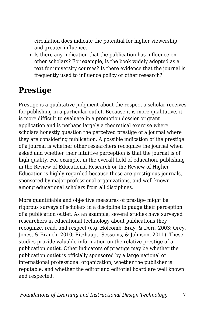circulation does indicate the potential for higher viewership and greater influence.

• Is there any indication that the publication has influence on other scholars? For example, is the book widely adopted as a text for university courses? Is there evidence that the journal is frequently used to influence policy or other research?

### **Prestige**

Prestige is a qualitative judgment about the respect a scholar receives for publishing in a particular outlet. Because it is more qualitative, it is more difficult to evaluate in a promotion dossier or grant application and is perhaps largely a theoretical exercise where scholars honestly question the perceived prestige of a journal where they are considering publication. A possible indication of the prestige of a journal is whether other researchers recognize the journal when asked and whether their intuitive perception is that the journal is of high quality. For example, in the overall field of education, publishing in the Review of Educational Research or the Review of Higher Education is highly regarded because these are prestigious journals, sponsored by major professional organizations, and well known among educational scholars from all disciplines.

More quantifiable and objective measures of prestige might be rigorous surveys of scholars in a discipline to gauge their perception of a publication outlet. As an example, several studies have surveyed researchers in educational technology about publications they recognize, read, and respect (e.g. Holcomb, Bray, & Dorr, 2003; Orey, Jones, & Branch, 2010; Ritzhaupt, Sessums, & Johnson, 2011). These studies provide valuable information on the relative prestige of a publication outlet. Other indicators of prestige may be whether the publication outlet is officially sponsored by a large national or international professional organization, whether the publisher is reputable, and whether the editor and editorial board are well known and respected.

*Foundations of Learning and Instructional Design Technology* 7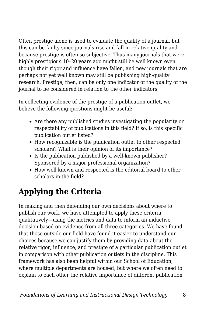Often prestige alone is used to evaluate the quality of a journal, but this can be faulty since journals rise and fall in relative quality and because prestige is often so subjective. Thus many journals that were highly prestigious 10–20 years ago might still be well known even though their rigor and influence have fallen, and new journals that are perhaps not yet well known may still be publishing high-quality research. Prestige, then, can be only one indicator of the quality of the journal to be considered in relation to the other indicators.

In collecting evidence of the prestige of a publication outlet, we believe the following questions might be useful:

- Are there any published studies investigating the popularity or respectability of publications in this field? If so, is this specific publication outlet listed?
- How recognizable is the publication outlet to other respected scholars? What is their opinion of its importance?
- Is the publication published by a well-known publisher? Sponsored by a major professional organization?
- How well known and respected is the editorial board to other scholars in the field?

## **Applying the Criteria**

In making and then defending our own decisions about where to publish our work, we have attempted to apply these criteria qualitatively—using the metrics and data to inform an inductive decision based on evidence from all three categories. We have found that those outside our field have found it easier to understand our choices because we can justify them by providing data about the relative rigor, influence, and prestige of a particular publication outlet in comparison with other publication outlets in the discipline. This framework has also been helpful within our School of Education, where multiple departments are housed, but where we often need to explain to each other the relative importance of different publication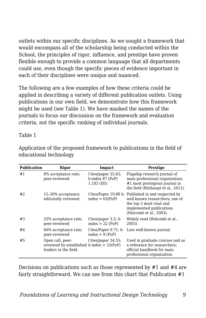outlets within our specific disciplines. As we sought a framework that would encompass all of the scholarship being conducted within the School, the principles of rigor, influence, and prestige have proven flexible enough to provide a common language that all departments could use, even though the specific pieces of evidence important in each of their disciplines were unique and nuanced.

The following are a few examples of how these criteria could be applied in describing a variety of different publication outlets. Using publications in our own field, we demonstrate how this framework might be used (see Table 1). We have masked the names of the journals to focus our discussion on the framework and evaluation criteria, not the specific ranking of individual journals.

#### Table 1

| <b>Publication</b> | Rigor                                                                                    | Impact                                                | <b>Prestige</b>                                                                                                                                                         |
|--------------------|------------------------------------------------------------------------------------------|-------------------------------------------------------|-------------------------------------------------------------------------------------------------------------------------------------------------------------------------|
| #1                 | 8% acceptance rate;<br>peer-reviewed                                                     | Cites/paper 35.83;<br>h-index 87 (PoP)<br>1.183 (ISI) | Flagship research journal of<br>main professional organization;<br>#1 most prestigious journal in<br>the field (Ritzhaupt et al., 2011).                                |
| #2                 | 15-20% acceptance;<br>editorially reviewed.                                              | $index = 63(PoP)$                                     | Cites/Paper 19.89 h - Published in and respected by<br>well-known researchers: one of<br>the top 3 most read and<br>implemented publications<br>(Holcomb et al., 2003). |
| #3                 | 25% acceptance rate;<br>peer-reviewed                                                    | Cites/paper 3.3; h-<br>$index = 22 (PoP)$             | Widely read (Holcomb et al.,<br>2003).                                                                                                                                  |
| #4                 | 66% acceptance rate;<br>peer-reviewed                                                    | Cites/Paper 9.71; h-<br>$index = 9 (PoP)$             | Less well-known journal.                                                                                                                                                |
| #5                 | Open call, peer-<br>reviewed by established h-index $= 33(PoP)$<br>leaders in the field. | Cites/paper 34.55;                                    | Used in graduate courses and as<br>a reference for researchers;<br>official handbook for main<br>professional organization.                                             |

Application of the proposed framework to publications in the field of educational technology

Decisions on publications such as those represented by #1 and #4 are fairly straightforward. We can see from this chart that Publication #1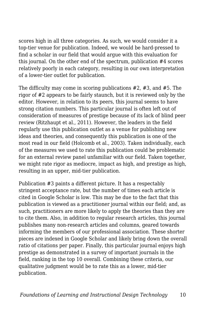scores high in all three categories. As such, we would consider it a top-tier venue for publication. Indeed, we would be hard-pressed to find a scholar in our field that would argue with this evaluation for this journal. On the other end of the spectrum, publication #4 scores relatively poorly in each category, resulting in our own interpretation of a lower-tier outlet for publication.

The difficulty may come in scoring publications #2, #3, and #5. The rigor of #2 appears to be fairly staunch, but it is reviewed only by the editor. However, in relation to its peers, this journal seems to have strong citation numbers. This particular journal is often left out of consideration of measures of prestige because of its lack of blind peer review (Ritzhaupt et al., 2011). However, the leaders in the field regularly use this publication outlet as a venue for publishing new ideas and theories, and consequently this publication is one of the most read in our field (Holcomb et al., 2003). Taken individually, each of the measures we used to rate this publication could be problematic for an external review panel unfamiliar with our field. Taken together, we might rate rigor as mediocre, impact as high, and prestige as high, resulting in an upper, mid-tier publication.

Publication #3 paints a different picture. It has a respectably stringent acceptance rate, but the number of times each article is cited in Google Scholar is low. This may be due to the fact that this publication is viewed as a practitioner journal within our field; and, as such, practitioners are more likely to apply the theories than they are to cite them. Also, in addition to regular research articles, this journal publishes many non-research articles and columns, geared towards informing the members of our professional association. These shorter pieces are indexed in Google Scholar and likely bring down the overall ratio of citations per paper. Finally, this particular journal enjoys high prestige as demonstrated in a survey of important journals in the field, ranking in the top 10 overall. Combining these criteria, our qualitative judgment would be to rate this as a lower, mid-tier publication.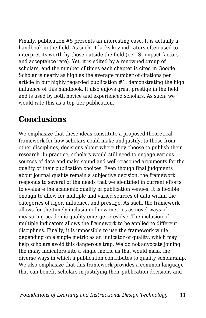Finally, publication #5 presents an interesting case. It is actually a handbook in the field. As such, it lacks key indicators often used to interpret its worth by those outside the field (i.e. ISI impact factors and acceptance rate). Yet, it is edited by a renowned group of scholars, and the number of times each chapter is cited in Google Scholar is nearly as high as the average number of citations per article in our highly regarded publication #1, demonstrating the high influence of this handbook. It also enjoys great prestige in the field and is used by both novice and experienced scholars. As such, we would rate this as a top-tier publication.

### **Conclusions**

We emphasize that these ideas constitute a proposed theoretical framework for how scholars could make and justify, to those from other disciplines, decisions about where they choose to publish their research. In practice, scholars would still need to engage various sources of data and make sound and well-reasoned arguments for the quality of their publication choices. Even though final judgments about journal quality remain a subjective decision, the framework responds to several of the needs that we identified in current efforts to evaluate the academic quality of publication venues. It is flexible enough to allow for multiple and varied sources of data within the categories of rigor, influence, and prestige. As such, the framework allows for the timely inclusion of new metrics as novel ways of measuring academic quality emerge or evolve. The inclusion of multiple indicators allows the framework to be applied to different disciplines. Finally, it is impossible to use the framework while depending on a single metric as an indicator of quality, which may help scholars avoid this dangerous trap. We do not advocate joining the many indicators into a single metric as that would mask the diverse ways in which a publication contributes to quality scholarship. We also emphasize that this framework provides a common language that can benefit scholars in justifying their publication decisions and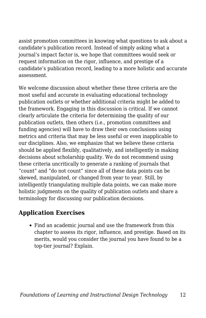assist promotion committees in knowing what questions to ask about a candidate's publication record. Instead of simply asking what a journal's impact factor is, we hope that committees would seek or request information on the rigor, influence, and prestige of a candidate's publication record, leading to a more holistic and accurate assessment.

We welcome discussion about whether these three criteria are the most useful and accurate in evaluating educational technology publication outlets or whether additional criteria might be added to the framework. Engaging in this discussion is critical. If we cannot clearly articulate the criteria for determining the quality of our publication outlets, then others (i.e., promotion committees and funding agencies) will have to draw their own conclusions using metrics and criteria that may be less useful or even inapplicable to our disciplines. Also, we emphasize that we believe these criteria should be applied flexibly, qualitatively, and intelligently in making decisions about scholarship quality. We do not recommend using these criteria uncritically to generate a ranking of journals that "count" and "do not count" since all of these data points can be skewed, manipulated, or changed from year to year. Still, by intelligently triangulating multiple data points, we can make more holistic judgments on the quality of publication outlets and share a terminology for discussing our publication decisions.

### **Application Exercises**

Find an academic journal and use the framework from this chapter to assess its rigor, influence, and prestige. Based on its merits, would you consider the journal you have found to be a top-tier journal? Explain.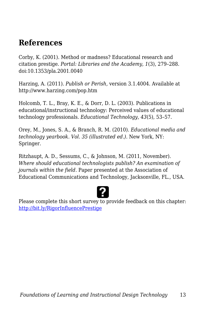### **References**

Corby, K. (2001). Method or madness? Educational research and citation prestige. *Portal: Libraries and the Academy, 1*(3), 279–288. doi:10.1353/pla.2001.0040

Harzing, A. (2011). *Publish or Perish,* version 3.1.4004. Available at http://www.harzing.com/pop.htm

Holcomb, T. L., Bray, K. E., & Dorr, D. L. (2003). Publications in educational/instructional technology: Perceived values of educational technology professionals. *Educational Technology, 43*(5), 53–57.

Orey, M., Jones, S. A., & Branch, R. M. (2010). *Educational media and technology yearbook. Vol. 35 (illustrated ed.).* New York, NY: Springer.

Ritzhaupt, A. D., Sessums, C., & Johnson, M. (2011, November). *Where should educational technologists publish? An examination of journals within the field.* Paper presented at the Association of Educational Communications and Technology, Jacksonville, FL., USA.

Please complete this short survey to provide feedback on this chapter: <http://bit.ly/RigorInfluencePrestige>